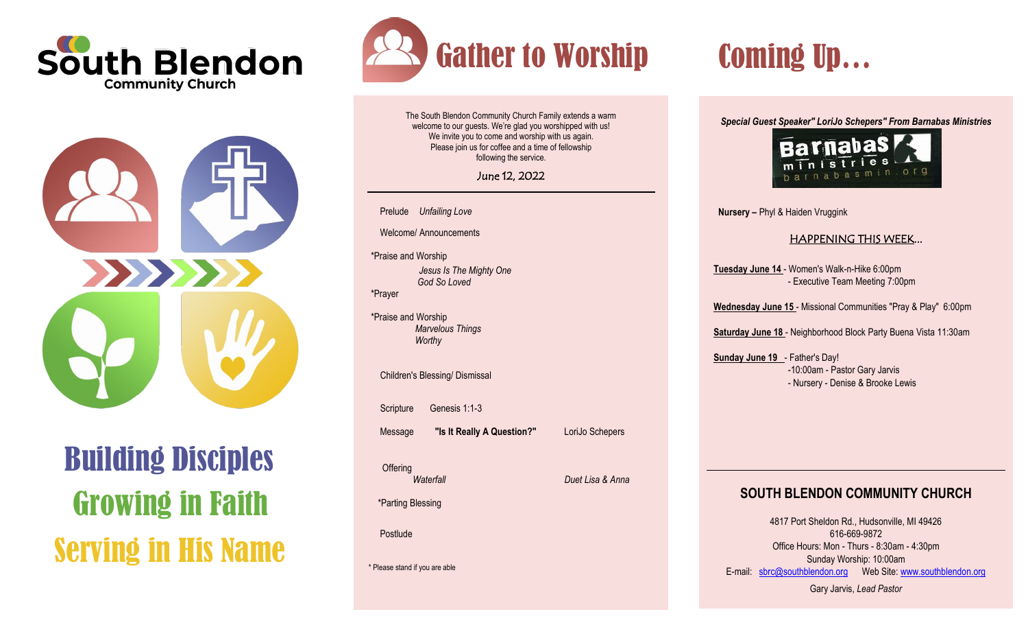



# Building Disciples Growing in Faith Serving in His Name



The South Blendon Community Church Family extends a warm welcome to our guests. We're glad you worshipped with us! We invite you to come and worship with us again. Please join us for coffee and a time of fellowship following the service.

June 12, 2022

Prelude *Unfailing Love*

Welcome/ Announcements

\*Praise and Worship *Jesus Is The Mighty One God So Loved* \*Prayer

\*Praise and Worship *Marvelous Things Worthy*

Children's Blessing/ Dismissal

Scripture Genesis 1:1-3

Message **"Is It Really A Question?"** LoriJo Schepers

*Waterfall Duet Lisa & Anna*

\*Parting Blessing

Postlude

**Offering** 

\* Please stand if you are able

*Special Guest Speaker" LoriJo Schepers" From Barnabas Ministries*



**Nursery –** Phyl & Haiden Vruggink

## HAPPENING THIS WEEK...

**Tuesday June 14** - Women's Walk-n-Hike 6:00pm - Executive Team Meeting 7:00pm

**Wednesday June 15** - Missional Communities "Pray & Play" 6:00pm

**Saturday June 18** - Neighborhood Block Party Buena Vista 11:30am

**Sunday June 19** - Father's Day! -10:00am - Pastor Gary Jarvis - Nursery - Denise & Brooke Lewis

# **SOUTH BLENDON COMMUNITY CHURCH**

4817 Port Sheldon Rd., Hudsonville, MI 49426 616-669-9872 Office Hours: Mon - Thurs - 8:30am - 4:30pm Sunday Worship: 10:00am E-mail: [sbrc@southblendon.org](mailto:sbrc@southblendon.org) Web Site: [www.southblendon.org](http://www.southblendon.org/)

Gary Jarvis, *Lead Pastor*